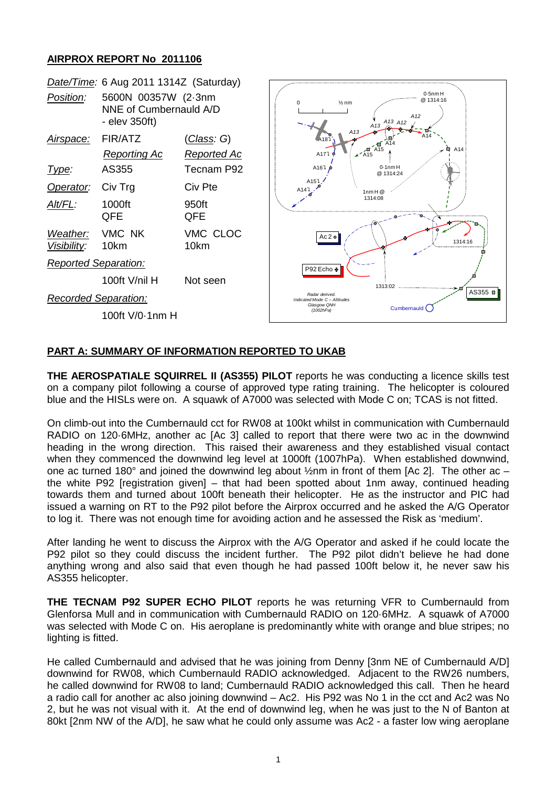## **AIRPROX REPORT No 2011106**



## **PART A: SUMMARY OF INFORMATION REPORTED TO UKAB**

**THE AEROSPATIALE SQUIRREL II (AS355) PILOT** reports he was conducting a licence skills test on a company pilot following a course of approved type rating training. The helicopter is coloured blue and the HISLs were on. A squawk of A7000 was selected with Mode C on; TCAS is not fitted.

On climb-out into the Cumbernauld cct for RW08 at 100kt whilst in communication with Cumbernauld RADIO on 120·6MHz, another ac [Ac 3] called to report that there were two ac in the downwind heading in the wrong direction. This raised their awareness and they established visual contact when they commenced the downwind leg level at 1000ft (1007hPa). When established downwind, one ac turned 180° and joined the downwind leg about  $\frac{1}{2}$ nm in front of them [Ac 2]. The other ac – the white P92 [registration given] – that had been spotted about 1nm away, continued heading towards them and turned about 100ft beneath their helicopter. He as the instructor and PIC had issued a warning on RT to the P92 pilot before the Airprox occurred and he asked the A/G Operator to log it. There was not enough time for avoiding action and he assessed the Risk as 'medium'.

After landing he went to discuss the Airprox with the A/G Operator and asked if he could locate the P92 pilot so they could discuss the incident further. The P92 pilot didn't believe he had done anything wrong and also said that even though he had passed 100ft below it, he never saw his AS355 helicopter.

**THE TECNAM P92 SUPER ECHO PILOT** reports he was returning VFR to Cumbernauld from Glenforsa Mull and in communication with Cumbernauld RADIO on 120·6MHz. A squawk of A7000 was selected with Mode C on. His aeroplane is predominantly white with orange and blue stripes; no lighting is fitted.

He called Cumbernauld and advised that he was joining from Denny [3nm NE of Cumbernauld A/D] downwind for RW08, which Cumbernauld RADIO acknowledged. Adjacent to the RW26 numbers, he called downwind for RW08 to land; Cumbernauld RADIO acknowledged this call. Then he heard a radio call for another ac also joining downwind – Ac2. His P92 was No 1 in the cct and Ac2 was No 2, but he was not visual with it. At the end of downwind leg, when he was just to the N of Banton at 80kt [2nm NW of the A/D], he saw what he could only assume was Ac2 - a faster low wing aeroplane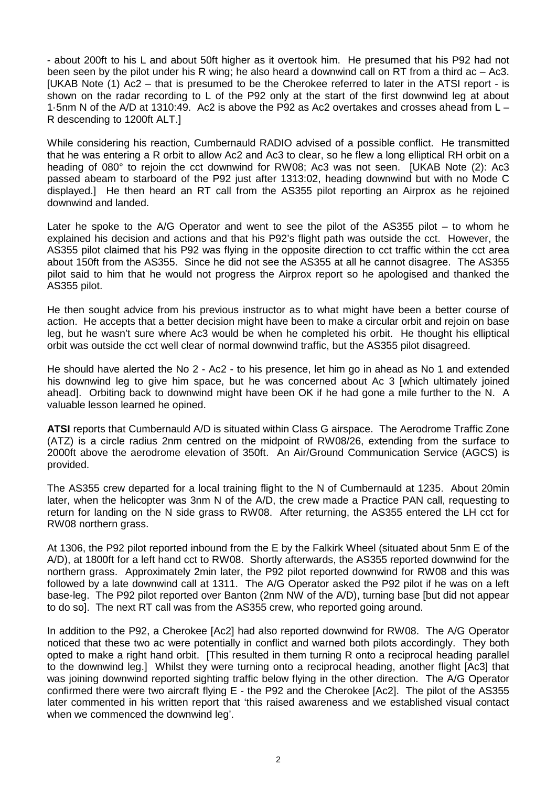- about 200ft to his L and about 50ft higher as it overtook him. He presumed that his P92 had not been seen by the pilot under his R wing; he also heard a downwind call on RT from a third ac – Ac3. [UKAB Note (1) Ac2 – that is presumed to be the Cherokee referred to later in the ATSI report - is shown on the radar recording to L of the P92 only at the start of the first downwind leg at about 1·5nm N of the A/D at 1310:49. Ac2 is above the P92 as Ac2 overtakes and crosses ahead from L – R descending to 1200ft ALT.]

While considering his reaction, Cumbernauld RADIO advised of a possible conflict. He transmitted that he was entering a R orbit to allow Ac2 and Ac3 to clear, so he flew a long elliptical RH orbit on a heading of 080° to rejoin the cct downwind for RW08; Ac3 was not seen. [UKAB Note (2): Ac3 passed abeam to starboard of the P92 just after 1313:02, heading downwind but with no Mode C displayed.] He then heard an RT call from the AS355 pilot reporting an Airprox as he rejoined downwind and landed.

Later he spoke to the A/G Operator and went to see the pilot of the AS355 pilot – to whom he explained his decision and actions and that his P92's flight path was outside the cct. However, the AS355 pilot claimed that his P92 was flying in the opposite direction to cct traffic within the cct area about 150ft from the AS355. Since he did not see the AS355 at all he cannot disagree. The AS355 pilot said to him that he would not progress the Airprox report so he apologised and thanked the AS355 pilot.

He then sought advice from his previous instructor as to what might have been a better course of action. He accepts that a better decision might have been to make a circular orbit and rejoin on base leg, but he wasn't sure where Ac3 would be when he completed his orbit. He thought his elliptical orbit was outside the cct well clear of normal downwind traffic, but the AS355 pilot disagreed.

He should have alerted the No 2 - Ac2 - to his presence, let him go in ahead as No 1 and extended his downwind leg to give him space, but he was concerned about Ac 3 [which ultimately joined ahead]. Orbiting back to downwind might have been OK if he had gone a mile further to the N. A valuable lesson learned he opined.

**ATSI** reports that Cumbernauld A/D is situated within Class G airspace. The Aerodrome Traffic Zone (ATZ) is a circle radius 2nm centred on the midpoint of RW08/26, extending from the surface to 2000ft above the aerodrome elevation of 350ft. An Air/Ground Communication Service (AGCS) is provided.

The AS355 crew departed for a local training flight to the N of Cumbernauld at 1235. About 20min later, when the helicopter was 3nm N of the A/D, the crew made a Practice PAN call, requesting to return for landing on the N side grass to RW08. After returning, the AS355 entered the LH cct for RW08 northern grass.

At 1306, the P92 pilot reported inbound from the E by the Falkirk Wheel (situated about 5nm E of the A/D), at 1800ft for a left hand cct to RW08. Shortly afterwards, the AS355 reported downwind for the northern grass. Approximately 2min later, the P92 pilot reported downwind for RW08 and this was followed by a late downwind call at 1311. The A/G Operator asked the P92 pilot if he was on a left base-leg. The P92 pilot reported over Banton (2nm NW of the A/D), turning base [but did not appear to do so]. The next RT call was from the AS355 crew, who reported going around.

In addition to the P92, a Cherokee [Ac2] had also reported downwind for RW08. The A/G Operator noticed that these two ac were potentially in conflict and warned both pilots accordingly. They both opted to make a right hand orbit. [This resulted in them turning R onto a reciprocal heading parallel to the downwind leg.] Whilst they were turning onto a reciprocal heading, another flight [Ac3] that was joining downwind reported sighting traffic below flying in the other direction. The A/G Operator confirmed there were two aircraft flying E - the P92 and the Cherokee [Ac2]. The pilot of the AS355 later commented in his written report that 'this raised awareness and we established visual contact when we commenced the downwind leg'.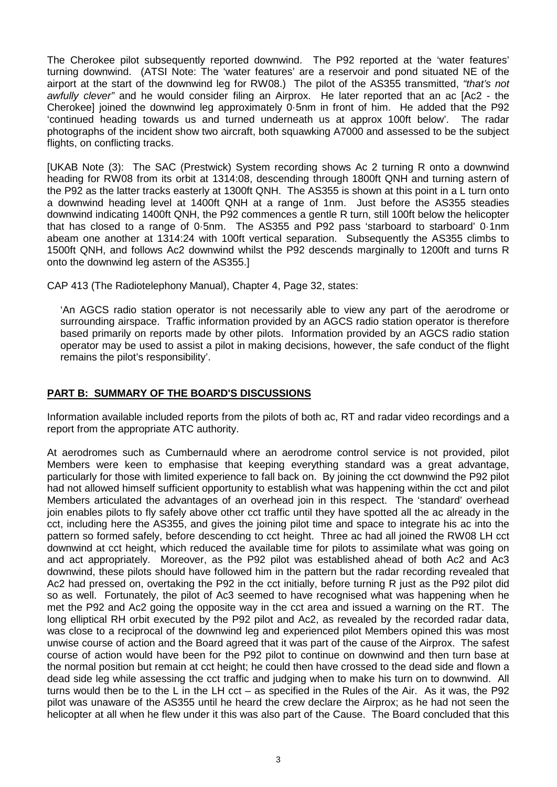The Cherokee pilot subsequently reported downwind. The P92 reported at the 'water features' turning downwind. (ATSI Note: The 'water features' are a reservoir and pond situated NE of the airport at the start of the downwind leg for RW08.) The pilot of the AS355 transmitted, *"that's not awfully clever"* and he would consider filing an Airprox. He later reported that an ac [Ac2 - the Cherokee] joined the downwind leg approximately 0·5nm in front of him. He added that the P92 'continued heading towards us and turned underneath us at approx 100ft below'. The radar photographs of the incident show two aircraft, both squawking A7000 and assessed to be the subject flights, on conflicting tracks.

[UKAB Note (3): The SAC (Prestwick) System recording shows Ac 2 turning R onto a downwind heading for RW08 from its orbit at 1314:08, descending through 1800ft QNH and turning astern of the P92 as the latter tracks easterly at 1300ft QNH. The AS355 is shown at this point in a L turn onto a downwind heading level at 1400ft QNH at a range of 1nm. Just before the AS355 steadies downwind indicating 1400ft QNH, the P92 commences a gentle R turn, still 100ft below the helicopter that has closed to a range of 0·5nm. The AS355 and P92 pass 'starboard to starboard' 0·1nm abeam one another at 1314:24 with 100ft vertical separation. Subsequently the AS355 climbs to 1500ft QNH, and follows Ac2 downwind whilst the P92 descends marginally to 1200ft and turns R onto the downwind leg astern of the AS355.]

CAP 413 (The Radiotelephony Manual), Chapter 4, Page 32, states:

'An AGCS radio station operator is not necessarily able to view any part of the aerodrome or surrounding airspace. Traffic information provided by an AGCS radio station operator is therefore based primarily on reports made by other pilots. Information provided by an AGCS radio station operator may be used to assist a pilot in making decisions, however, the safe conduct of the flight remains the pilot's responsibility'.

## **PART B: SUMMARY OF THE BOARD'S DISCUSSIONS**

Information available included reports from the pilots of both ac, RT and radar video recordings and a report from the appropriate ATC authority.

At aerodromes such as Cumbernauld where an aerodrome control service is not provided, pilot Members were keen to emphasise that keeping everything standard was a great advantage, particularly for those with limited experience to fall back on. By joining the cct downwind the P92 pilot had not allowed himself sufficient opportunity to establish what was happening within the cct and pilot Members articulated the advantages of an overhead join in this respect. The 'standard' overhead join enables pilots to fly safely above other cct traffic until they have spotted all the ac already in the cct, including here the AS355, and gives the joining pilot time and space to integrate his ac into the pattern so formed safely, before descending to cct height. Three ac had all joined the RW08 LH cct downwind at cct height, which reduced the available time for pilots to assimilate what was going on and act appropriately. Moreover, as the P92 pilot was established ahead of both Ac2 and Ac3 downwind, these pilots should have followed him in the pattern but the radar recording revealed that Ac2 had pressed on, overtaking the P92 in the cct initially, before turning R just as the P92 pilot did so as well. Fortunately, the pilot of Ac3 seemed to have recognised what was happening when he met the P92 and Ac2 going the opposite way in the cct area and issued a warning on the RT. The long elliptical RH orbit executed by the P92 pilot and Ac2, as revealed by the recorded radar data, was close to a reciprocal of the downwind leg and experienced pilot Members opined this was most unwise course of action and the Board agreed that it was part of the cause of the Airprox. The safest course of action would have been for the P92 pilot to continue on downwind and then turn base at the normal position but remain at cct height; he could then have crossed to the dead side and flown a dead side leg while assessing the cct traffic and judging when to make his turn on to downwind. All turns would then be to the L in the LH cct – as specified in the Rules of the Air. As it was, the P92 pilot was unaware of the AS355 until he heard the crew declare the Airprox; as he had not seen the helicopter at all when he flew under it this was also part of the Cause. The Board concluded that this